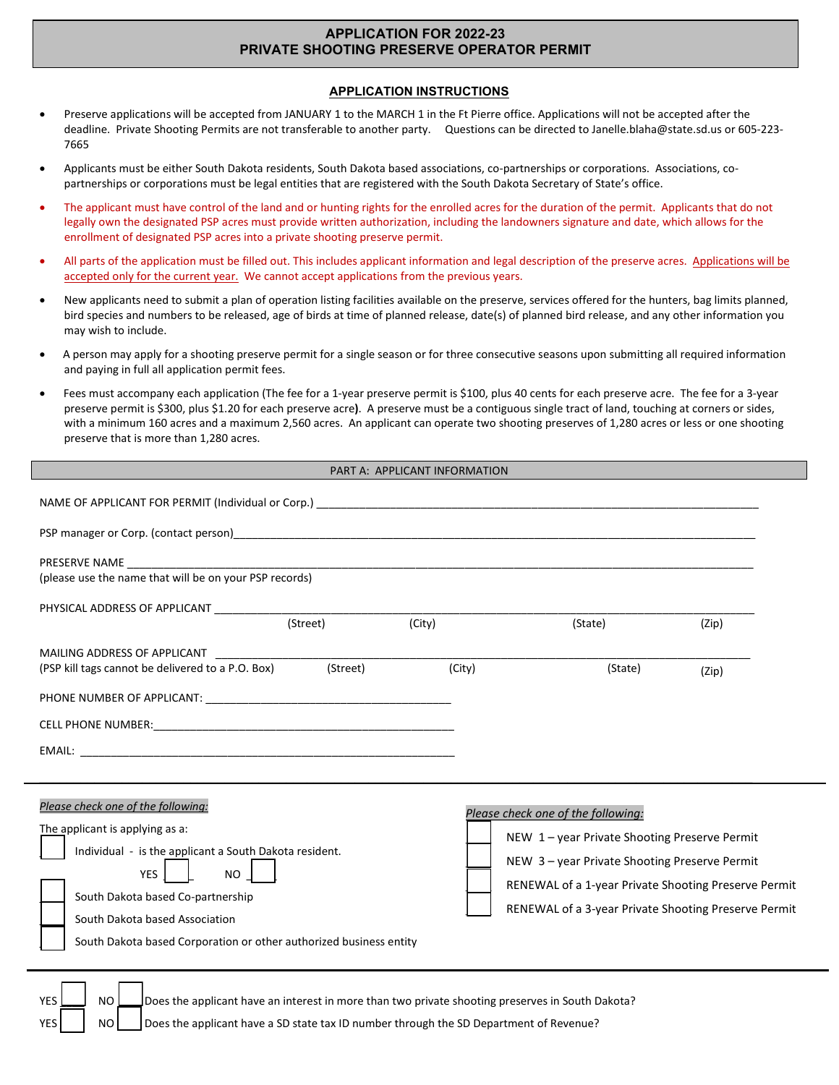# **APPLICATION FOR 2022-23 PRIVATE SHOOTING PRESERVE OPERATOR PERMIT**

### **APPLICATION INSTRUCTIONS**

- Preserve applications will be accepted from JANUARY 1 to the MARCH 1 in the Ft Pierre office. Applications will not be accepted after the deadline. Private Shooting Permits are not transferable to another party. Questions can be directed t[o Janelle.blaha@state.sd.us](mailto:Janelle.blaha@state.sd.us) or 605-223- 7665
- Applicants must be either South Dakota residents, South Dakota based associations, co-partnerships or corporations. Associations, copartnerships or corporations must be legal entities that are registered with the South Dakota Secretary of State's office.
- The applicant must have control of the land and or hunting rights for the enrolled acres for the duration of the permit. Applicants that do not legally own the designated PSP acres must provide written authorization, including the landowners signature and date, which allows for the enrollment of designated PSP acres into a private shooting preserve permit.
- All parts of the application must be filled out. This includes applicant information and legal description of the preserve acres. Applications will be accepted only for the current year. We cannot accept applications from the previous years.
- New applicants need to submit a plan of operation listing facilities available on the preserve, services offered for the hunters, bag limits planned, bird species and numbers to be released, age of birds at time of planned release, date(s) of planned bird release, and any other information you may wish to include.
- A person may apply for a shooting preserve permit for a single season or for three consecutive seasons upon submitting all required information and paying in full all application permit fees.
- Fees must accompany each application (The fee for a 1-year preserve permit is \$100, plus 40 cents for each preserve acre. The fee for a 3-year preserve permit is \$300, plus \$1.20 for each preserve acre**)**. A preserve must be a contiguous single tract of land, touching at corners or sides, with a minimum 160 acres and a maximum 2,560 acres. An applicant can operate two shooting preserves of 1,280 acres or less or one shooting preserve that is more than 1,280 acres.

#### PART A: APPLICANT INFORMATION

| PHYSICAL ADDRESS OF APPLICANT <b>Example 20</b>                                                                                                                                                                                                                                                    | (Street) | (City) | (State)                                                                                                                                                                                                                                          | (Zip) |  |
|----------------------------------------------------------------------------------------------------------------------------------------------------------------------------------------------------------------------------------------------------------------------------------------------------|----------|--------|--------------------------------------------------------------------------------------------------------------------------------------------------------------------------------------------------------------------------------------------------|-------|--|
| MAILING ADDRESS OF APPLICANT<br>(PSP kill tags cannot be delivered to a P.O. Box)                                                                                                                                                                                                                  | (Street) | (City) | (State)                                                                                                                                                                                                                                          | (Zip) |  |
|                                                                                                                                                                                                                                                                                                    |          |        |                                                                                                                                                                                                                                                  |       |  |
|                                                                                                                                                                                                                                                                                                    |          |        |                                                                                                                                                                                                                                                  |       |  |
|                                                                                                                                                                                                                                                                                                    |          |        |                                                                                                                                                                                                                                                  |       |  |
| Please check one of the following:<br>The applicant is applying as a:<br>Individual - is the applicant a South Dakota resident.<br><b>YES</b><br>NO I<br>South Dakota based Co-partnership<br>South Dakota based Association<br>South Dakota based Corporation or other authorized business entity |          |        | Please check one of the following:<br>NEW 1-year Private Shooting Preserve Permit<br>NEW 3-year Private Shooting Preserve Permit<br>RENEWAL of a 1-year Private Shooting Preserve Permit<br>RENEWAL of a 3-year Private Shooting Preserve Permit |       |  |
| <b>YES</b><br>NO<br>Does the applicant have an interest in more than two private shooting preserves in South Dakota?<br>Does the applicant have a SD state tax ID number through the SD Department of Revenue?<br><b>YES</b><br><sub>NO</sub>                                                      |          |        |                                                                                                                                                                                                                                                  |       |  |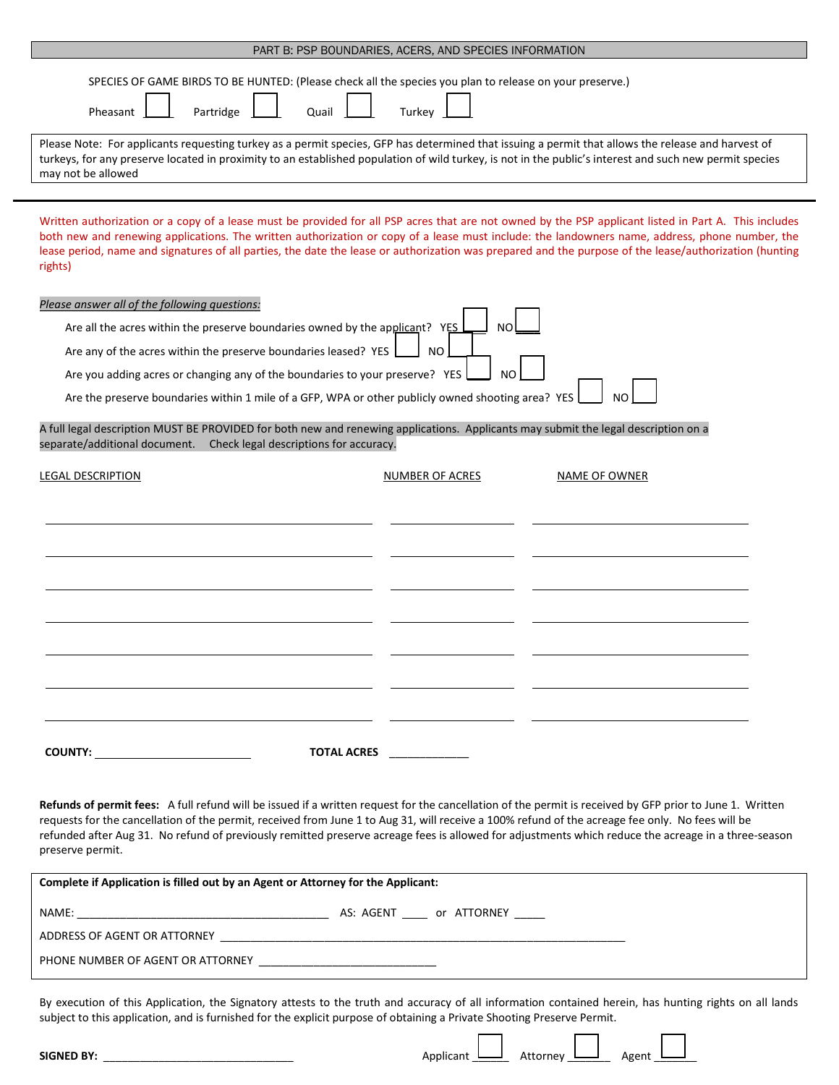|                                                                                                                                                                                                                                                                                                                                                                                                                                                                                                                                                                    | PART B: PSP BOUNDARIES, ACERS, AND SPECIES INFORMATION |               |  |
|--------------------------------------------------------------------------------------------------------------------------------------------------------------------------------------------------------------------------------------------------------------------------------------------------------------------------------------------------------------------------------------------------------------------------------------------------------------------------------------------------------------------------------------------------------------------|--------------------------------------------------------|---------------|--|
| SPECIES OF GAME BIRDS TO BE HUNTED: (Please check all the species you plan to release on your preserve.)<br>Partridge<br>Pheasant<br>Quail<br>Please Note: For applicants requesting turkey as a permit species, GFP has determined that issuing a permit that allows the release and harvest of<br>turkeys, for any preserve located in proximity to an established population of wild turkey, is not in the public's interest and such new permit species<br>may not be allowed                                                                                  | Turkey                                                 |               |  |
| Written authorization or a copy of a lease must be provided for all PSP acres that are not owned by the PSP applicant listed in Part A. This includes<br>both new and renewing applications. The written authorization or copy of a lease must include: the landowners name, address, phone number, the<br>lease period, name and signatures of all parties, the date the lease or authorization was prepared and the purpose of the lease/authorization (hunting<br>rights)                                                                                       |                                                        |               |  |
| Please answer all of the following questions:<br>Are all the acres within the preserve boundaries owned by the applicant? YES<br>NO<br>Are any of the acres within the preserve boundaries leased? YES<br>NO.<br>Are you adding acres or changing any of the boundaries to your preserve? YES<br>N <sub>O</sub><br>Are the preserve boundaries within 1 mile of a GFP, WPA or other publicly owned shooting area? YES<br>NO.<br>A full legal description MUST BE PROVIDED for both new and renewing applications. Applicants may submit the legal description on a |                                                        |               |  |
| separate/additional document. Check legal descriptions for accuracy.<br><b>LEGAL DESCRIPTION</b>                                                                                                                                                                                                                                                                                                                                                                                                                                                                   | NUMBER OF ACRES                                        | NAME OF OWNER |  |
|                                                                                                                                                                                                                                                                                                                                                                                                                                                                                                                                                                    |                                                        |               |  |
|                                                                                                                                                                                                                                                                                                                                                                                                                                                                                                                                                                    |                                                        |               |  |
|                                                                                                                                                                                                                                                                                                                                                                                                                                                                                                                                                                    |                                                        |               |  |
| COUNTY: __________________________                                                                                                                                                                                                                                                                                                                                                                                                                                                                                                                                 | TOTAL ACRES                                            |               |  |

**Refunds of permit fees:** A full refund will be issued if a written request for the cancellation of the permit is received by GFP prior to June 1. Written requests for the cancellation of the permit, received from June 1 to Aug 31, will receive a 100% refund of the acreage fee only. No fees will be refunded after Aug 31. No refund of previously remitted preserve acreage fees is allowed for adjustments which reduce the acreage in a three-season preserve permit.

| Complete if Application is filled out by an Agent or Attorney for the Applicant: |                       |  |
|----------------------------------------------------------------------------------|-----------------------|--|
| NAME:                                                                            | AS: AGENT or ATTORNEY |  |
| ADDRESS OF AGENT OR ATTORNEY                                                     |                       |  |
| PHONE NUMBER OF AGENT OR ATTORNEY                                                |                       |  |

By execution of this Application, the Signatory attests to the truth and accuracy of all information contained herein, has hunting rights on all lands subject to this application, and is furnished for the explicit purpose of obtaining a Private Shooting Preserve Permit.

| SIGNI<br>.<br>__________<br>_______<br>_______ | 15 | $-$<br> |  |
|------------------------------------------------|----|---------|--|
|                                                |    |         |  |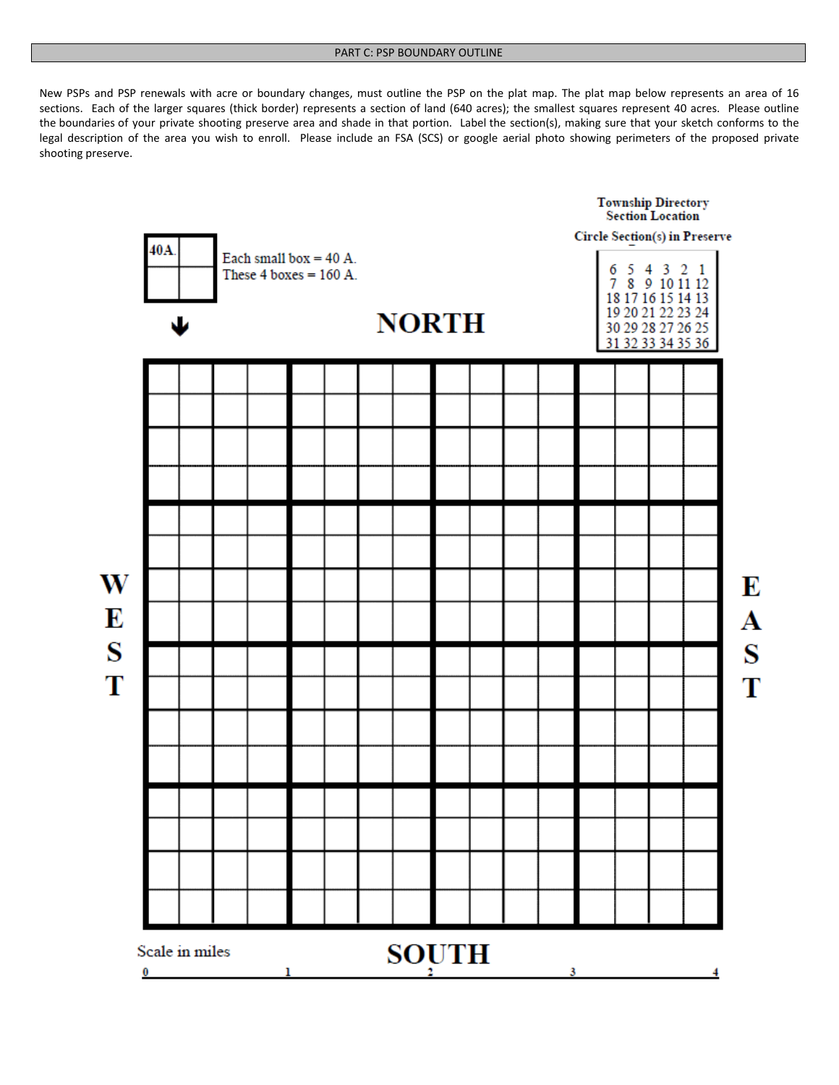New PSPs and PSP renewals with acre or boundary changes, must outline the PSP on the plat map. The plat map below represents an area of 16 sections. Each of the larger squares (thick border) represents a section of land (640 acres); the smallest squares represent 40 acres. Please outline the boundaries of your private shooting preserve area and shade in that portion. Label the section(s), making sure that your sketch conforms to the legal description of the area you wish to enroll. Please include an FSA (SCS) or google aerial photo showing perimeters of the proposed private shooting preserve.